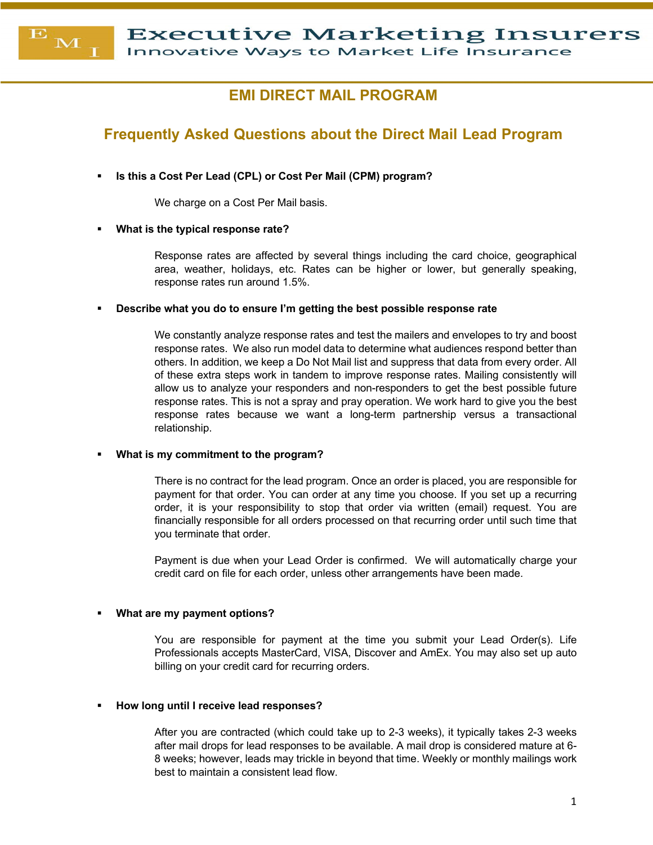**Executive Marketing Insurers** 

Innovative Ways to Market Life Insurance

# **EMI DIRECT MAIL PROGRAM**

# **Frequently Asked Questions about the Direct Mail Lead Program**

§ **Is this a Cost Per Lead (CPL) or Cost Per Mail (CPM) program?**

We charge on a Cost Per Mail basis.

§ **What is the typical response rate?**

 $\overline{\mathbf{E}}$ 

M

Response rates are affected by several things including the card choice, geographical area, weather, holidays, etc. Rates can be higher or lower, but generally speaking, response rates run around 1.5%.

§ **Describe what you do to ensure I'm getting the best possible response rate**

We constantly analyze response rates and test the mailers and envelopes to try and boost response rates. We also run model data to determine what audiences respond better than others. In addition, we keep a Do Not Mail list and suppress that data from every order. All of these extra steps work in tandem to improve response rates. Mailing consistently will allow us to analyze your responders and non-responders to get the best possible future response rates. This is not a spray and pray operation. We work hard to give you the best response rates because we want a long-term partnership versus a transactional relationship.

§ **What is my commitment to the program?**

There is no contract for the lead program. Once an order is placed, you are responsible for payment for that order. You can order at any time you choose. If you set up a recurring order, it is your responsibility to stop that order via written (email) request. You are financially responsible for all orders processed on that recurring order until such time that you terminate that order.

Payment is due when your Lead Order is confirmed. We will automatically charge your credit card on file for each order, unless other arrangements have been made.

# § **What are my payment options?**

You are responsible for payment at the time you submit your Lead Order(s). Life Professionals accepts MasterCard, VISA, Discover and AmEx. You may also set up auto billing on your credit card for recurring orders.

# § **How long until I receive lead responses?**

After you are contracted (which could take up to 2-3 weeks), it typically takes 2-3 weeks after mail drops for lead responses to be available. A mail drop is considered mature at 6- 8 weeks; however, leads may trickle in beyond that time. Weekly or monthly mailings work best to maintain a consistent lead flow.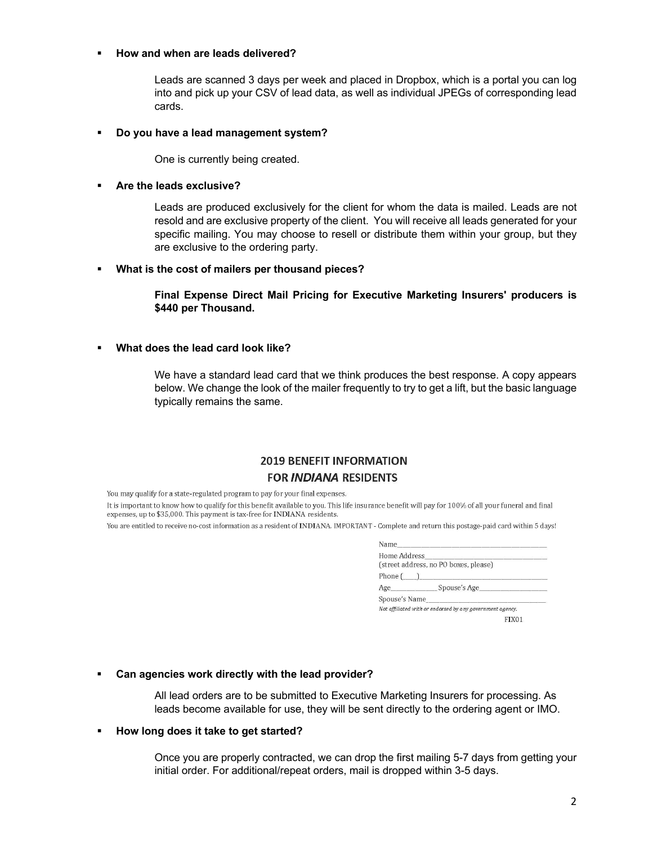# § **How and when are leads delivered?**

Leads are scanned 3 days per week and placed in Dropbox, which is a portal you can log into and pick up your CSV of lead data, as well as individual JPEGs of corresponding lead cards.

### § **Do you have a lead management system?**

One is currently being created.

# § **Are the leads exclusive?**

Leads are produced exclusively for the client for whom the data is mailed. Leads are not resold and are exclusive property of the client. You will receive all leads generated for your specific mailing. You may choose to resell or distribute them within your group, but they are exclusive to the ordering party.

### § **What is the cost of mailers per thousand pieces?**

**Final Expense Direct Mail Pricing for Executive Marketing Insurers' producers is \$440 per Thousand.**

# § **What does the lead card look like?**

We have a standard lead card that we think produces the best response. A copy appears below. We change the look of the mailer frequently to try to get a lift, but the basic language typically remains the same.

# **2019 BENEFIT INFORMATION FOR INDIANA RESIDENTS**

You may qualify for a state-regulated program to pay for your final expenses.

It is important to know how to qualify for this benefit available to you. This life insurance benefit will pay for 100% of all your funeral and final expenses, up to \$35,000. This payment is tax-free for INDIANA residents.

You are entitled to receive no-cost information as a resident of INDIANA. IMPORTANT - Complete and return this postage-paid card within 5 days!

| (street address, no PO boxes, please)<br>Phone $(\_\_)$   |
|-----------------------------------------------------------|
|                                                           |
|                                                           |
| Age Spouse's Age                                          |
|                                                           |
| Not affiliated with or endorsed by any government agency. |
| FIX01                                                     |
|                                                           |

# § **Can agencies work directly with the lead provider?**

All lead orders are to be submitted to Executive Marketing Insurers for processing. As leads become available for use, they will be sent directly to the ordering agent or IMO.

#### § **How long does it take to get started?**

Once you are properly contracted, we can drop the first mailing 5-7 days from getting your initial order. For additional/repeat orders, mail is dropped within 3-5 days.